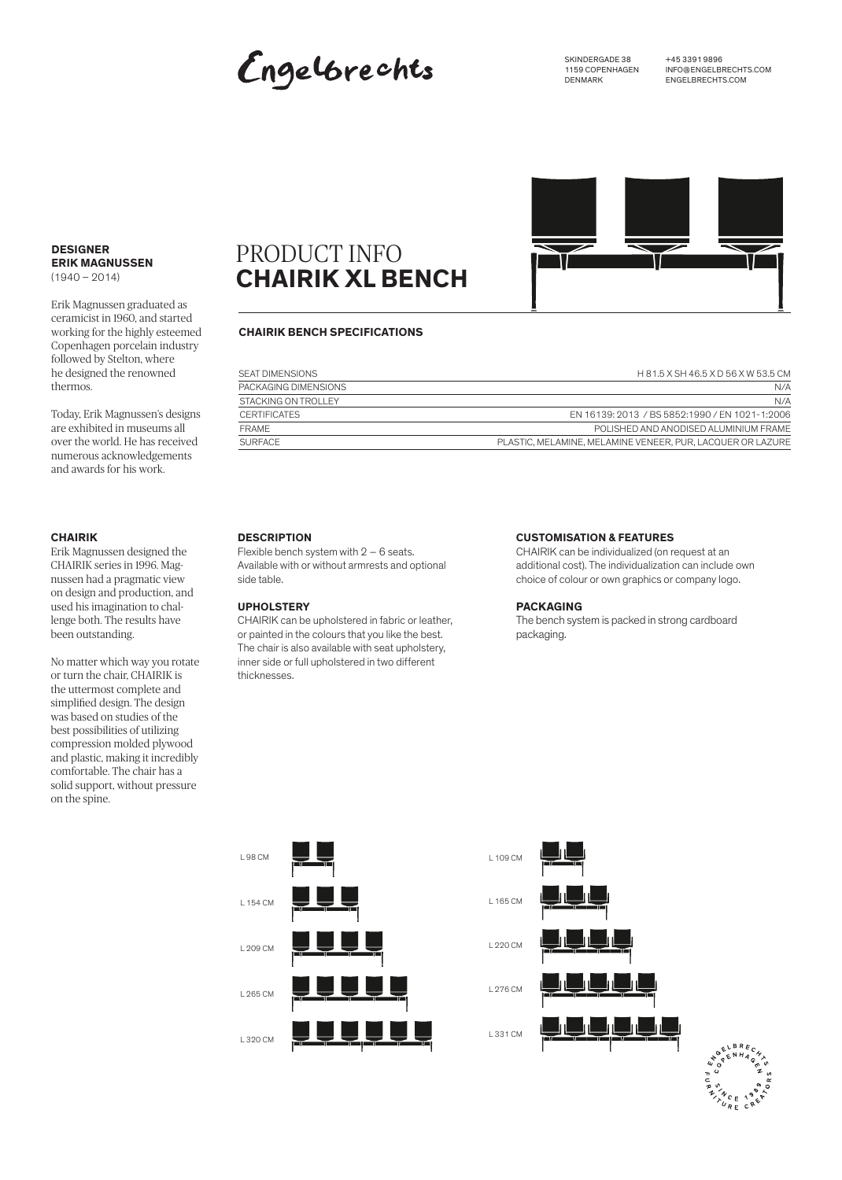## Engelbrechts

SKINDERGADE 38 1159 COPENHAGEN DENMARK

+45 3391 9896 INFO@ENGELBRECHTS.COM ENGELBRECHTS.COM



#### **DESIGNER ERIK MAGNUSSEN**   $(1940 - 2014)$

Erik Magnussen graduated as ceramicist in 1960, and started working for the highly esteemed Copenhagen porcelain industry followed by Stelton, where he designed the renowned thermos.

Today, Erik Magnussen's designs are exhibited in museums all over the world. He has received numerous acknowledgements and awards for his work.

#### **CHAIRIK**

Erik Magnussen designed the CHAIRIK series in 1996. Magnussen had a pragmatic view on design and production, and used his imagination to challenge both. The results have been outstanding.

No matter which way you rotate or turn the chair, CHAIRIK is the uttermost complete and simplified design. The design was based on studies of the best possibilities of utilizing compression molded plywood and plastic, making it incredibly comfortable. The chair has a solid support, without pressure on the spine.

### PRODUCT INFO **CHAIRIK XL BENCH**

#### **CHAIRIK BENCH SPECIFICATIONS**

| SEAT DIMENSIONS      | H 81.5 X SH 46.5 X D 56 X W 53.5 CM                        |
|----------------------|------------------------------------------------------------|
| PACKAGING DIMENSIONS | N/A                                                        |
| STACKING ON TROLLEY  | N/A                                                        |
| <b>CERTIFICATES</b>  | EN 16139: 2013 / BS 5852:1990 / EN 1021-1:2006             |
| FRAME                | POLISHED AND ANODISED ALUMINIUM FRAME                      |
| <b>SURFACE</b>       | PLASTIC, MELAMINE, MELAMINE VENEER, PUR, LACQUER OR LAZURE |

#### **DESCRIPTION**

Flexible bench system with  $2 - 6$  seats. Available with or without armrests and optional side table.

#### **UPHOLSTERY**

CHAIRIK can be upholstered in fabric or leather, or painted in the colours that you like the best. The chair is also available with seat upholstery, inner side or full upholstered in two different thicknesses.

#### **CUSTOMISATION & FEATURES**

CHAIRIK can be individualized (on request at an additional cost). The individualization can include own choice of colour or own graphics or company logo.

#### **PACKAGING**

The bench system is packed in strong cardboard packaging.